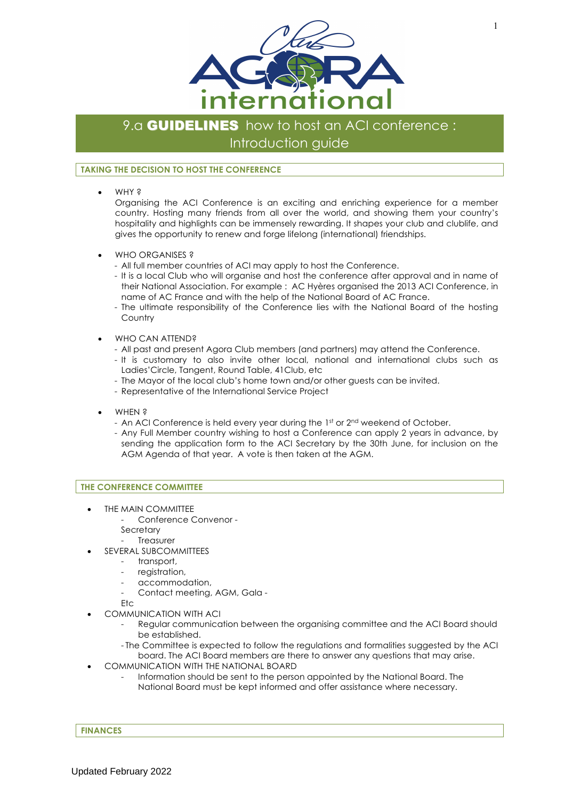

# 9.a **GUIDELINES** how to host an ACI conference: Introduction guide

## **TAKING THE DECISION TO HOST THE CONFERENCE**

• WHY ?

Organising the ACI Conference is an exciting and enriching experience for a member country. Hosting many friends from all over the world, and showing them your country's hospitality and highlights can be immensely rewarding. It shapes your club and clublife, and gives the opportunity to renew and forge lifelong (international) friendships.

- WHO ORGANISES ?
	- All full member countries of ACI may apply to host the Conference.
	- It is a local Club who will organise and host the conference after approval and in name of their National Association. For example : AC Hyères organised the 2013 ACI Conference, in name of AC France and with the help of the National Board of AC France.
	- The ultimate responsibility of the Conference lies with the National Board of the hosting **Country**
- WHO CAN ATTEND?
	- All past and present Agora Club members (and partners) may attend the Conference.
	- It is customary to also invite other local, national and international clubs such as Ladies'Circle, Tangent, Round Table, 41Club, etc
	- The Mayor of the local club's home town and/or other guests can be invited.
	- Representative of the International Service Project
- WHEN ?
	- An ACI Conference is held every year during the  $1<sup>st</sup>$  or  $2<sup>nd</sup>$  weekend of October.
	- Any Full Member country wishing to host a Conference can apply 2 years in advance, by sending the application form to the ACI Secretary by the 30th June, for inclusion on the AGM Agenda of that year. A vote is then taken at the AGM.

## **THE CONFERENCE COMMITTEE**

- THE MAIN COMMITTEE
	- Conference Convenor -
	- **Secretary**
	- **Treasurer**
- SEVERAL SUBCOMMITTEES
	- transport,
	- registration,
	- accommodation,
	- Contact meeting, AGM, Gala -
	- $F<sub>tr</sub>$
- COMMUNICATION WITH ACI
	- Regular communication between the organising committee and the ACI Board should be established.
	- The Committee is expected to follow the regulations and formalities suggested by the ACI board. The ACI Board members are there to answer any questions that may arise.
- COMMUNICATION WITH THE NATIONAL BOARD
	- Information should be sent to the person appointed by the National Board. The National Board must be kept informed and offer assistance where necessary.

## **FINANCES**